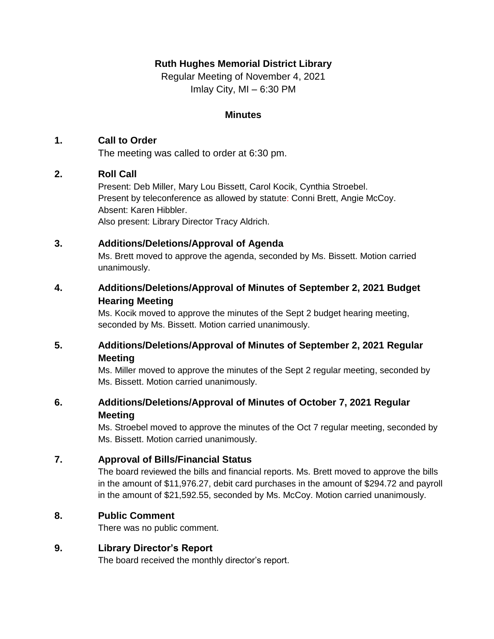## **Ruth Hughes Memorial District Library**

Regular Meeting of November 4, 2021 Imlay City, MI – 6:30 PM

### **Minutes**

## **1. Call to Order**

The meeting was called to order at 6:30 pm.

## **2. Roll Call**

Present: Deb Miller, Mary Lou Bissett, Carol Kocik, Cynthia Stroebel. Present by teleconference as allowed by statute: Conni Brett, Angie McCoy. Absent: Karen Hibbler. Also present: Library Director Tracy Aldrich.

## **3. Additions/Deletions/Approval of Agenda**

Ms. Brett moved to approve the agenda, seconded by Ms. Bissett. Motion carried unanimously.

## **4. Additions/Deletions/Approval of Minutes of September 2, 2021 Budget Hearing Meeting**

Ms. Kocik moved to approve the minutes of the Sept 2 budget hearing meeting, seconded by Ms. Bissett. Motion carried unanimously.

# **5. Additions/Deletions/Approval of Minutes of September 2, 2021 Regular Meeting**

Ms. Miller moved to approve the minutes of the Sept 2 regular meeting, seconded by Ms. Bissett. Motion carried unanimously.

## **6. Additions/Deletions/Approval of Minutes of October 7, 2021 Regular Meeting**

Ms. Stroebel moved to approve the minutes of the Oct 7 regular meeting, seconded by Ms. Bissett. Motion carried unanimously.

## **7. Approval of Bills/Financial Status**

The board reviewed the bills and financial reports. Ms. Brett moved to approve the bills in the amount of \$11,976.27, debit card purchases in the amount of \$294.72 and payroll in the amount of \$21,592.55, seconded by Ms. McCoy. Motion carried unanimously.

# **8. Public Comment**

There was no public comment.

# **9. Library Director's Report**

The board received the monthly director's report.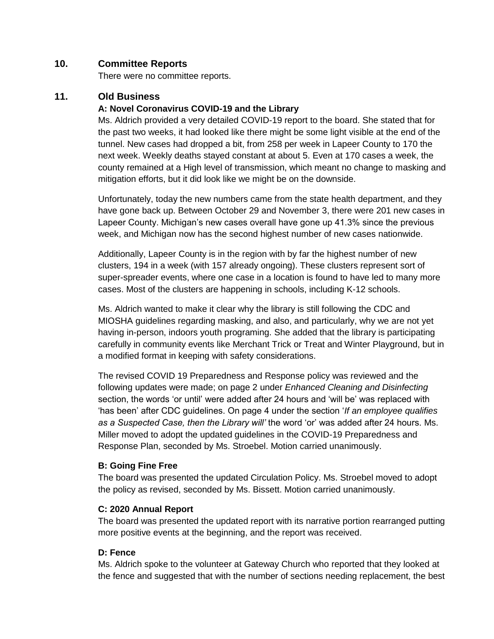### **10. Committee Reports**

There were no committee reports.

### **11. Old Business**

### **A: Novel Coronavirus COVID-19 and the Library**

Ms. Aldrich provided a very detailed COVID-19 report to the board. She stated that for the past two weeks, it had looked like there might be some light visible at the end of the tunnel. New cases had dropped a bit, from 258 per week in Lapeer County to 170 the next week. Weekly deaths stayed constant at about 5. Even at 170 cases a week, the county remained at a High level of transmission, which meant no change to masking and mitigation efforts, but it did look like we might be on the downside.

Unfortunately, today the new numbers came from the state health department, and they have gone back up. Between October 29 and November 3, there were 201 new cases in Lapeer County. Michigan's new cases overall have gone up 41.3% since the previous week, and Michigan now has the second highest number of new cases nationwide.

Additionally, Lapeer County is in the region with by far the highest number of new clusters, 194 in a week (with 157 already ongoing). These clusters represent sort of super-spreader events, where one case in a location is found to have led to many more cases. Most of the clusters are happening in schools, including K-12 schools.

Ms. Aldrich wanted to make it clear why the library is still following the CDC and MIOSHA guidelines regarding masking, and also, and particularly, why we are not yet having in-person, indoors youth programing. She added that the library is participating carefully in community events like Merchant Trick or Treat and Winter Playground, but in a modified format in keeping with safety considerations.

The revised COVID 19 Preparedness and Response policy was reviewed and the following updates were made; on page 2 under *Enhanced Cleaning and Disinfecting* section, the words 'or until' were added after 24 hours and 'will be' was replaced with 'has been' after CDC guidelines. On page 4 under the section '*If an employee qualifies as a Suspected Case, then the Library will'* the word 'or' was added after 24 hours. Ms. Miller moved to adopt the updated guidelines in the COVID-19 Preparedness and Response Plan, seconded by Ms. Stroebel. Motion carried unanimously.

#### **B: Going Fine Free**

The board was presented the updated Circulation Policy. Ms. Stroebel moved to adopt the policy as revised, seconded by Ms. Bissett. Motion carried unanimously.

#### **C: 2020 Annual Report**

The board was presented the updated report with its narrative portion rearranged putting more positive events at the beginning, and the report was received.

### **D: Fence**

Ms. Aldrich spoke to the volunteer at Gateway Church who reported that they looked at the fence and suggested that with the number of sections needing replacement, the best